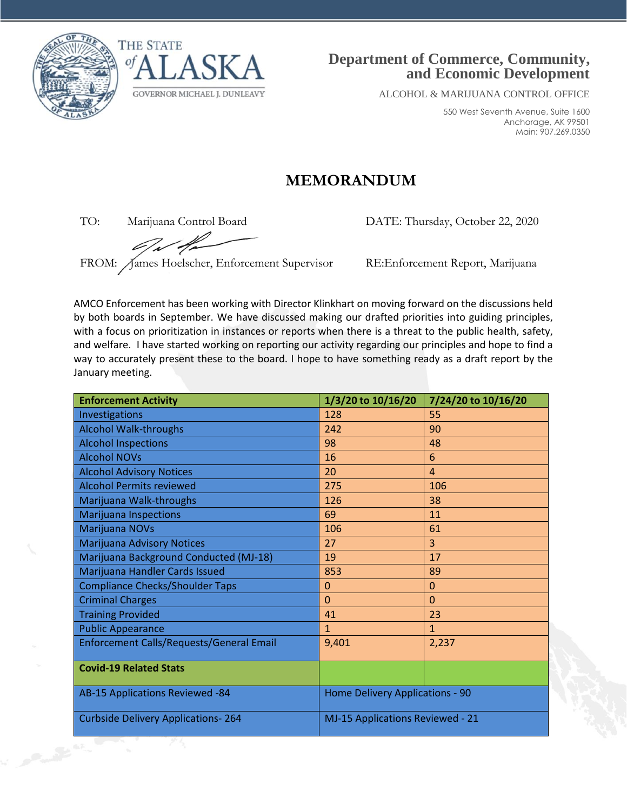



## **Department of Commerce, Community, and Economic Development**

ALCOHOL & MARIJUANA CONTROL OFFICE

550 West Seventh Avenue, Suite 1600 Anchorage, AK 99501 Main: 907.269.0350

## **MEMORANDUM**

FROM: James Hoelscher, Enforcement Supervisor RE:Enforcement Report, Marijuana

TO: Marijuana Control Board DATE: Thursday, October 22, 2020

AMCO Enforcement has been working with Director Klinkhart on moving forward on the discussions held by both boards in September. We have discussed making our drafted priorities into guiding principles, with a focus on prioritization in instances or reports when there is a threat to the public health, safety, and welfare. I have started working on reporting our activity regarding our principles and hope to find a way to accurately present these to the board. I hope to have something ready as a draft report by the January meeting.

| <b>Enforcement Activity</b>               | 1/3/20 to 10/16/20               | 7/24/20 to 10/16/20 |
|-------------------------------------------|----------------------------------|---------------------|
| Investigations                            | 128                              | 55                  |
| <b>Alcohol Walk-throughs</b>              | 242                              | 90                  |
| <b>Alcohol Inspections</b>                | 98                               | 48                  |
| <b>Alcohol NOVs</b>                       | 16                               | 6                   |
| <b>Alcohol Advisory Notices</b>           | 20                               | $\overline{4}$      |
| <b>Alcohol Permits reviewed</b>           | 275                              | 106                 |
| Marijuana Walk-throughs                   | 126                              | 38                  |
| <b>Marijuana Inspections</b>              | 69                               | 11                  |
| Marijuana NOVs                            | 106                              | 61                  |
| Marijuana Advisory Notices                | 27                               | $\overline{3}$      |
| Marijuana Background Conducted (MJ-18)    | 19                               | 17                  |
| Marijuana Handler Cards Issued            | 853                              | 89                  |
| <b>Compliance Checks/Shoulder Taps</b>    | $\mathbf 0$                      | $\Omega$            |
| <b>Criminal Charges</b>                   | $\Omega$                         | $\Omega$            |
| <b>Training Provided</b>                  | 41                               | 23                  |
| <b>Public Appearance</b>                  | $\mathbf{1}$                     | $\mathbf{1}$        |
| Enforcement Calls/Requests/General Email  | 9,401                            | 2,237               |
| <b>Covid-19 Related Stats</b>             |                                  |                     |
| AB-15 Applications Reviewed -84           | Home Delivery Applications - 90  |                     |
| <b>Curbside Delivery Applications-264</b> | MJ-15 Applications Reviewed - 21 |                     |